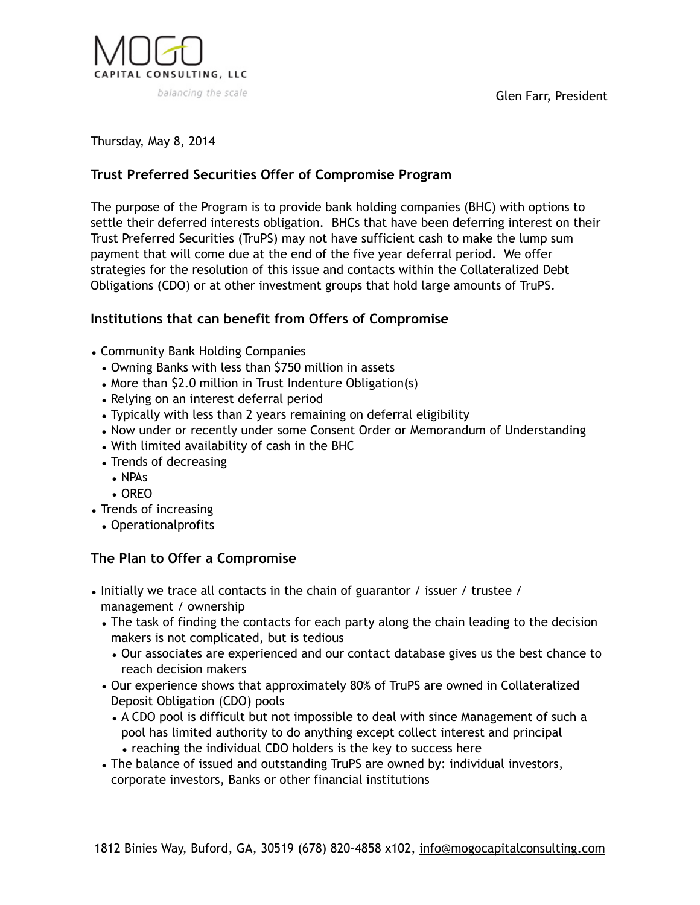

Thursday, May 8, 2014

## **Trust Preferred Securities Offer of Compromise Program**

The purpose of the Program is to provide bank holding companies (BHC) with options to settle their deferred interests obligation. BHCs that have been deferring interest on their Trust Preferred Securities (TruPS) may not have sufficient cash to make the lump sum payment that will come due at the end of the five year deferral period. We offer strategies for the resolution of this issue and contacts within the Collateralized Debt Obligations (CDO) or at other investment groups that hold large amounts of TruPS.

## **Institutions that can benefit from Offers of Compromise**

- Community Bank Holding Companies
	- Owning Banks with less than \$750 million in assets
	- More than \$2.0 million in Trust Indenture Obligation(s)
	- Relying on an interest deferral period
	- Typically with less than 2 years remaining on deferral eligibility
	- Now under or recently under some Consent Order or Memorandum of Understanding
	- With limited availability of cash in the BHC
	- Trends of decreasing
		- NPAs
		- OREO
- Trends of increasing
	- Operationalprofits

## **The Plan to Offer a Compromise**

- Initially we trace all contacts in the chain of guarantor / issuer / trustee / management / ownership
	- The task of finding the contacts for each party along the chain leading to the decision makers is not complicated, but is tedious
		- Our associates are experienced and our contact database gives us the best chance to reach decision makers
	- Our experience shows that approximately 80% of TruPS are owned in Collateralized Deposit Obligation (CDO) pools
		- A CDO pool is difficult but not impossible to deal with since Management of such a pool has limited authority to do anything except collect interest and principal • reaching the individual CDO holders is the key to success here
	- The balance of issued and outstanding TruPS are owned by: individual investors, corporate investors, Banks or other financial institutions